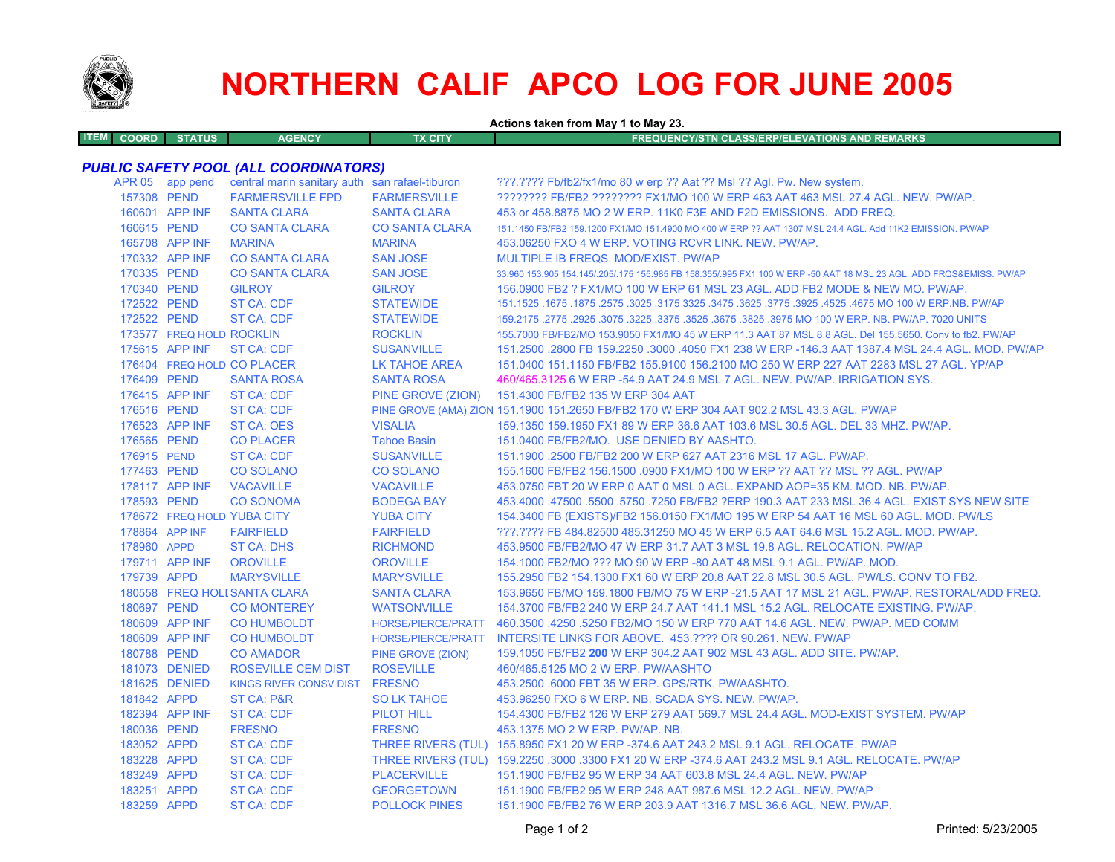

# **NORTHERN CALIF APCO LOG FOR JUNE 2005**

**Actions taken from May 1 to May 23.**

| <b>ITEM COORD</b> | <b>STATUS</b> | <b>AGENCY</b> | TX CITY | <b>FREQUENCY/STN CLASS/ERP/ELEVATIONS AND REMARKS</b> ' |
|-------------------|---------------|---------------|---------|---------------------------------------------------------|
|                   |               |               |         |                                                         |

## *PUBLIC SAFETY POOL (ALL COORDINATORS)*

|             | APR 05 app pend          | central marin sanitary auth san rafael-tiburon |                           | ???.???? Fb/fb2/fx1/mo 80 w erp ?? Aat ?? Msl ?? Agl. Pw. New system.                                               |
|-------------|--------------------------|------------------------------------------------|---------------------------|---------------------------------------------------------------------------------------------------------------------|
| 157308 PEND |                          | <b>FARMERSVILLE FPD</b>                        | <b>FARMERSVILLE</b>       | ???????? FB/FB2 ???????? FX1/MO 100 W ERP 463 AAT 463 MSL 27.4 AGL. NEW. PW/AP.                                     |
|             | 160601 APP INF           | <b>SANTA CLARA</b>                             | <b>SANTA CLARA</b>        | 453 or 458.8875 MO 2 W ERP. 11K0 F3E AND F2D EMISSIONS. ADD FREQ.                                                   |
| 160615 PEND |                          | <b>CO SANTA CLARA</b>                          | <b>CO SANTA CLARA</b>     | 151.1450 FB/FB2 159.1200 FX1/MO 151.4900 MO 400 W ERP ?? AAT 1307 MSL 24.4 AGL, Add 11K2 EMISSION, PW/AP            |
|             | 165708 APP INF           | <b>MARINA</b>                                  | <b>MARINA</b>             | 453,06250 FXO 4 W ERP. VOTING RCVR LINK, NEW, PW/AP.                                                                |
|             | 170332 APP INF           | <b>CO SANTA CLARA</b>                          | <b>SAN JOSE</b>           | MULTIPLE IB FREQS. MOD/EXIST. PW/AP                                                                                 |
| 170335 PEND |                          | <b>CO SANTA CLARA</b>                          | <b>SAN JOSE</b>           | 33.960 153.905 154.145/.205/.175 155.985 FB 158.355/.995 FX1 100 W ERP -50 AAT 18 MSL 23 AGL. ADD FRQS&EMISS. PW/AP |
| 170340 PEND |                          | <b>GILROY</b>                                  | <b>GILROY</b>             | 156,0900 FB2 ? FX1/MO 100 W ERP 61 MSL 23 AGL. ADD FB2 MODE & NEW MO, PW/AP.                                        |
| 172522 PEND |                          | <b>ST CA: CDF</b>                              | <b>STATEWIDE</b>          | 1675.1675 A675 MO 100 W ERP.NB. PW/AP. 3257. 3475 325. 3475 325. 3475 325. 3175 325. 1675 1675. 1675 1675.1525      |
| 172522 PEND |                          | <b>ST CA: CDF</b>                              | <b>STATEWIDE</b>          | 159.2175 .2775 .2925 .3075 .3225 .3675 .3675 .3825 .3975 MO 100 W ERP. NB. PW/AP. 7020 UNITS                        |
|             | 173577 FREQ HOLD ROCKLIN |                                                | <b>ROCKLIN</b>            | 155.7000 FB/FB2/MO 153.9050 FX1/MO 45 W ERP 11.3 AAT 87 MSL 8.8 AGL. Del 155.5650. Conv to fb2. PW/AP               |
|             | 175615 APP INF           | ST CA: CDF                                     | <b>SUSANVILLE</b>         | 151.2500 .2800 FB 159.2250 .3000 .4050 FX1 238 W ERP -146.3 AAT 1387.4 MSL 24.4 AGL. MOD. PW/AP                     |
|             |                          | 176404 FREQ HOLD CO PLACER                     | LK TAHOE AREA             | 151.0400 151.1150 FB/FB2 155.9100 156.2100 MO 250 W ERP 227 AAT 2283 MSL 27 AGL. YP/AP                              |
| 176409 PEND |                          | <b>SANTA ROSA</b>                              | <b>SANTA ROSA</b>         | 460/465.3125 6 W ERP -54.9 AAT 24.9 MSL 7 AGL. NEW. PW/AP. IRRIGATION SYS.                                          |
|             | 176415 APP INF           | ST CA: CDF                                     | PINE GROVE (ZION)         | 151.4300 FB/FB2 135 W ERP 304 AAT                                                                                   |
| 176516 PEND |                          | <b>ST CA: CDF</b>                              |                           | PINE GROVE (AMA) ZION 151.1900 151.2650 FB/FB2 170 W ERP 304 AAT 902.2 MSL 43.3 AGL. PW/AP                          |
|             | 176523 APP INF           | ST CA: OES                                     | <b>VISALIA</b>            | 159.1350 159.1950 FX1 89 W ERP 36.6 AAT 103.6 MSL 30.5 AGL. DEL 33 MHZ. PW/AP.                                      |
| 176565 PEND |                          | <b>CO PLACER</b>                               | <b>Tahoe Basin</b>        | 151.0400 FB/FB2/MO. USE DENIED BY AASHTO.                                                                           |
| 176915 PEND |                          | <b>ST CA: CDF</b>                              | <b>SUSANVILLE</b>         | 151.1900 .2500 FB/FB2 200 W ERP 627 AAT 2316 MSL 17 AGL, PW/AP.                                                     |
| 177463 PEND |                          | <b>CO SOLANO</b>                               | <b>CO SOLANO</b>          | 155.1600 FB/FB2 156.1500 .0900 FX1/MO 100 W ERP ?? AAT ?? MSL ?? AGL. PW/AP                                         |
|             | 178117 APP INF           | <b>VACAVILLE</b>                               | <b>VACAVILLE</b>          | 453.0750 FBT 20 W ERP 0 AAT 0 MSL 0 AGL. EXPAND AOP=35 KM. MOD. NB. PW/AP.                                          |
| 178593 PEND |                          | <b>CO SONOMA</b>                               | <b>BODEGA BAY</b>         | 453.4000 .47500 .5500 .5750 .7250 FB/FB2 ?ERP 190.3 AAT 233 MSL 36.4 AGL. EXIST SYS NEW SITE                        |
|             |                          | 178672 FREQ HOLD YUBA CITY                     | <b>YUBA CITY</b>          | 154.3400 FB (EXISTS)/FB2 156.0150 FX1/MO 195 W ERP 54 AAT 16 MSL 60 AGL. MOD. PW/LS                                 |
|             | 178864 APP INF           | <b>FAIRFIELD</b>                               | <b>FAIRFIELD</b>          | ???.???? FB 484.82500 485.31250 MO 45 W ERP 6.5 AAT 64.6 MSL 15.2 AGL, MOD, PW/AP,                                  |
| 178960 APPD |                          | ST CA: DHS                                     | <b>RICHMOND</b>           | 453,9500 FB/FB2/MO 47 W ERP 31.7 AAT 3 MSL 19.8 AGL, RELOCATION, PW/AP                                              |
|             | 179711 APP INF           | <b>OROVILLE</b>                                | <b>OROVILLE</b>           | 154,1000 FB2/MO ??? MO 90 W ERP -80 AAT 48 MSL 9.1 AGL, PW/AP, MOD.                                                 |
| 179739 APPD |                          | <b>MARYSVILLE</b>                              | <b>MARYSVILLE</b>         | 155.2950 FB2 154.1300 FX1 60 W ERP 20.8 AAT 22.8 MSL 30.5 AGL. PW/LS. CONV TO FB2.                                  |
|             |                          | 180558 FREQ HOLI SANTA CLARA                   | <b>SANTA CLARA</b>        | 153.9650 FB/MO 159.1800 FB/MO 75 W ERP -21.5 AAT 17 MSL 21 AGL. PW/AP. RESTORAL/ADD FREQ.                           |
| 180697 PEND |                          | <b>CO MONTEREY</b>                             | <b>WATSONVILLE</b>        | 154.3700 FB/FB2 240 W ERP 24.7 AAT 141.1 MSL 15.2 AGL. RELOCATE EXISTING, PW/AP.                                    |
|             | 180609 APP INF           | <b>CO HUMBOLDT</b>                             | HORSE/PIERCE/PRATT        | 460.3500 .4250 .5250 FB2/MO 150 W ERP 770 AAT 14.6 AGL. NEW. PW/AP. MED COMM                                        |
|             | 180609 APP INF           | <b>CO HUMBOLDT</b>                             | <b>HORSE/PIERCE/PRATT</b> | INTERSITE LINKS FOR ABOVE. 453.???? OR 90.261. NEW. PW/AP                                                           |
| 180788 PEND |                          | <b>CO AMADOR</b>                               | PINE GROVE (ZION)         | 159.1050 FB/FB2 200 W ERP 304.2 AAT 902 MSL 43 AGL. ADD SITE. PW/AP.                                                |
|             | 181073 DENIED            | ROSEVILLE CEM DIST                             | <b>ROSEVILLE</b>          | 460/465.5125 MO 2 W ERP. PW/AASHTO                                                                                  |
|             | 181625 DENIED            | <b>KINGS RIVER CONSV DIST</b>                  | <b>FRESNO</b>             | 453.2500 .6000 FBT 35 W ERP. GPS/RTK. PW/AASHTO.                                                                    |
| 181842 APPD |                          | ST CA: P&R                                     | <b>SO LK TAHOE</b>        | 453.96250 FXO 6 W ERP. NB. SCADA SYS. NEW. PW/AP.                                                                   |
|             | 182394 APP INF           | <b>ST CA: CDF</b>                              | PILOT HILL                | 154,4300 FB/FB2 126 W ERP 279 AAT 569.7 MSL 24.4 AGL, MOD-EXIST SYSTEM, PW/AP                                       |
| 180036 PEND |                          | <b>FRESNO</b>                                  | <b>FRESNO</b>             | 453.1375 MO 2 W ERP. PW/AP. NB.                                                                                     |
| 183052 APPD |                          | <b>ST CA: CDF</b>                              |                           | THREE RIVERS (TUL) 155.8950 FX1 20 W ERP -374.6 AAT 243.2 MSL 9.1 AGL. RELOCATE. PW/AP                              |
| 183228 APPD |                          | <b>ST CA: CDF</b>                              |                           | THREE RIVERS (TUL) 159.2250 ,3000 .3300 FX1 20 W ERP -374.6 AAT 243.2 MSL 9.1 AGL. RELOCATE. PW/AP                  |
| 183249 APPD |                          | ST CA: CDF                                     | <b>PLACERVILLE</b>        | 151.1900 FB/FB2 95 W ERP 34 AAT 603.8 MSL 24.4 AGL. NEW. PW/AP                                                      |
| 183251 APPD |                          | <b>ST CA: CDF</b>                              | <b>GEORGETOWN</b>         | 151.1900 FB/FB2 95 W ERP 248 AAT 987.6 MSL 12.2 AGL. NEW. PW/AP                                                     |
| 183259 APPD |                          | <b>ST CA: CDF</b>                              | <b>POLLOCK PINES</b>      | 151.1900 FB/FB2 76 W ERP 203.9 AAT 1316.7 MSL 36.6 AGL, NEW, PW/AP.                                                 |
|             |                          |                                                |                           |                                                                                                                     |